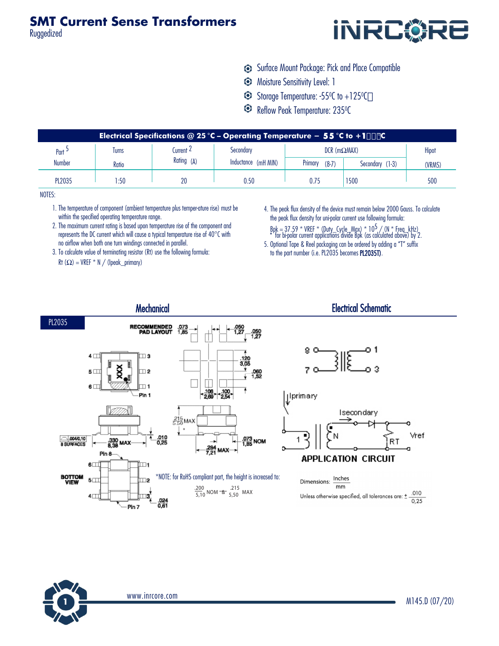

- Surface Mount Package: Pick and Place Compatible
- Moisture Sensitivity Level: 1
- Storage Temperature: -55<sup>0</sup> C to +125<sup>0</sup> C
- Reflow Peak Temperature: 235<sup>0</sup> C

| Electrical Specifications @ 25 °C - Operating Temperature - 55 °C to +1&) $\degree$ C |              |                           |                                  |                        |                 |        |  |  |
|---------------------------------------------------------------------------------------|--------------|---------------------------|----------------------------------|------------------------|-----------------|--------|--|--|
| $Part$ =                                                                              | <b>lurns</b> | Current 4<br>Rating $(A)$ | Secondary<br>Inductance (mH MIN) | $DCR$ (m $\Omega$ MAX) | Hipot           |        |  |  |
| Number                                                                                | Ratio        |                           |                                  | Primary<br>$(8-7)$     | Secondary (1-3) | (VRMS) |  |  |
| <b>PL2035</b>                                                                         | :50          | 20                        | 0.50                             | 0.75                   | 1500            | 500    |  |  |

NOTES:

- 1. The temperature of component (ambient temperature plus temper-ature rise) must be within the specified operating temperature range.
- 2. The maximum current rating is based upon temperature rise of the component and represents the DC current which will cause a typical temperature rise of 40°C with no airflow when both one turn windings connected in parallel.
- 3. To calculate value of terminating resistor (Rt) use the following formula: Rt  $(\Omega)$  = VREF \* N / (lpeak\_primary)
- 4. The peak flux density of the device must remain below 2000 Gauss. To calculate the peak flux density for uni-polar current use following formula:
	- Bpk = 37.59 \* VREF \* (Duty\_Cycle\_Max) \* 105 / (N \* Freq\_kHz) \* for bi-polar current applications divide Bpk (as calculated above) by 2.
- 5. Optional Tape & Reel packaging can be ordered by adding a "T" suffix to the part number (i.e. PL2035 becomes PL2035T).





www.inrcore.com